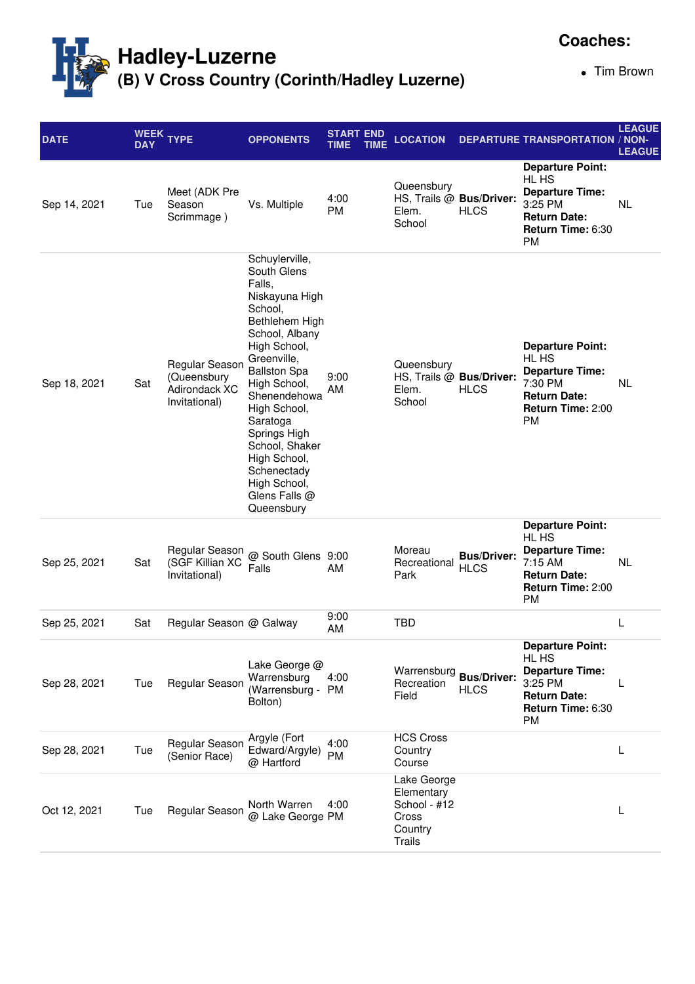

**Coaches:**

Tim Brown

| <b>DATE</b>  | <b>DAY</b> | WEEK TYPE                                                       | <b>OPPONENTS</b>                                                                                                                                                                                                                                                                                                                           | START END<br>TIME | <b>TIME</b> | <b>LOCATION</b>                                                                |                                   | <b>DEPARTURE TRANSPORTATION / NON-</b>                                                                                         | <b>LEAGUE</b><br><b>LEAGUE</b> |
|--------------|------------|-----------------------------------------------------------------|--------------------------------------------------------------------------------------------------------------------------------------------------------------------------------------------------------------------------------------------------------------------------------------------------------------------------------------------|-------------------|-------------|--------------------------------------------------------------------------------|-----------------------------------|--------------------------------------------------------------------------------------------------------------------------------|--------------------------------|
| Sep 14, 2021 | Tue        | Meet (ADK Pre<br>Season<br>Scrimmage)                           | Vs. Multiple                                                                                                                                                                                                                                                                                                                               | 4:00<br><b>PM</b> |             | Queensbury<br>HS, Trails @ Bus/Driver:<br>Elem.<br>School                      | <b>HLCS</b>                       | <b>Departure Point:</b><br>HL HS<br><b>Departure Time:</b><br>3:25 PM<br><b>Return Date:</b><br>Return Time: 6:30<br><b>PM</b> | NL                             |
| Sep 18, 2021 | Sat        | Regular Season<br>(Queensbury<br>Adirondack XC<br>Invitational) | Schuylerville,<br>South Glens<br>Falls,<br>Niskayuna High<br>School,<br>Bethlehem High<br>School, Albany<br>High School,<br>Greenville,<br><b>Ballston Spa</b><br>High School,<br>Shenendehowa<br>High School,<br>Saratoga<br>Springs High<br>School, Shaker<br>High School,<br>Schenectady<br>High School,<br>Glens Falls @<br>Queensbury | 9:00<br>AM        |             | Queensbury<br>HS, Trails @ Bus/Driver:<br>Elem.<br>School                      | <b>HLCS</b>                       | <b>Departure Point:</b><br>HL HS<br><b>Departure Time:</b><br>7:30 PM<br><b>Return Date:</b><br>Return Time: 2:00<br><b>PM</b> | NL.                            |
| Sep 25, 2021 | Sat        | Regular Season<br>(SGF Killian XC<br>Invitational)              | @ South Glens 9:00<br>Falls                                                                                                                                                                                                                                                                                                                | AM                |             | Moreau<br>Recreational<br>Park                                                 | <b>Bus/Driver:</b><br><b>HLCS</b> | <b>Departure Point:</b><br>HL HS<br><b>Departure Time:</b><br>7:15 AM<br><b>Return Date:</b><br>Return Time: 2:00<br>PM        | <b>NL</b>                      |
| Sep 25, 2021 | Sat        | Regular Season @ Galway                                         |                                                                                                                                                                                                                                                                                                                                            | 9:00<br>AM        |             | <b>TBD</b>                                                                     |                                   |                                                                                                                                | L                              |
| Sep 28, 2021 | Tue        | Regular Season                                                  | Lake George @<br>Warrensburg<br>(Warrensburg - PM<br>Bolton)                                                                                                                                                                                                                                                                               | 4:00              |             | Warrensburg<br>Recreation<br>Field                                             | <b>Bus/Driver:</b><br><b>HLCS</b> | <b>Departure Point:</b><br>HL HS<br><b>Departure Time:</b><br>3:25 PM<br><b>Return Date:</b><br>Return Time: 6:30<br><b>PM</b> | L                              |
| Sep 28, 2021 | Tue        | Regular Season<br>(Senior Race)                                 | Argyle (Fort<br>Edward/Argyle)<br>@ Hartford                                                                                                                                                                                                                                                                                               | 4:00<br><b>PM</b> |             | <b>HCS Cross</b><br>Country<br>Course                                          |                                   |                                                                                                                                | L                              |
| Oct 12, 2021 | Tue        | Regular Season                                                  | North Warren<br>@ Lake George PM                                                                                                                                                                                                                                                                                                           | 4:00              |             | Lake George<br>Elementary<br>School - #12<br>Cross<br>Country<br><b>Trails</b> |                                   |                                                                                                                                | L                              |